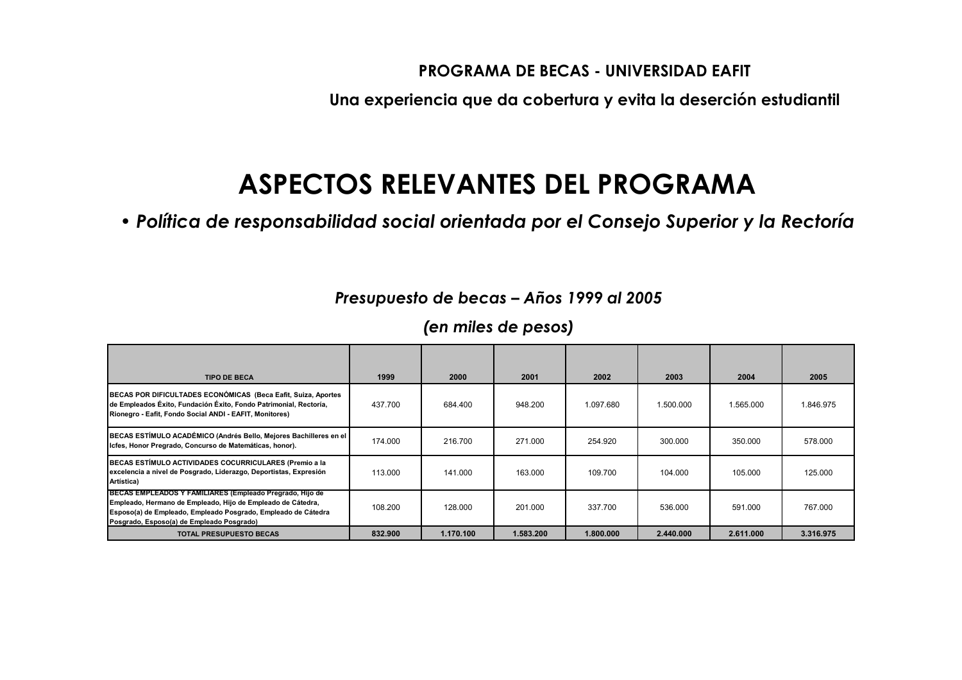Una experiencia que da cobertura y evita la deserción estudiantil

## ASPECTOS RELEVANTES DEL PROGRAMA

· Política de responsabilidad social orientada por el Consejo Superior y la Rectoría

#### Presupuesto de becas - Años 1999 al 2005

| <b>TIPO DE BECA</b>                                                                                                                                                                                                                   | 1999    | 2000      | 2001      | 2002      | 2003      | 2004      | 2005      |
|---------------------------------------------------------------------------------------------------------------------------------------------------------------------------------------------------------------------------------------|---------|-----------|-----------|-----------|-----------|-----------|-----------|
| BECAS POR DIFICULTADES ECONÓMICAS (Beca Eafit, Suiza, Aportes<br>de Empleados Éxito, Fundación Éxito, Fondo Patrimonial, Rectoría,<br>Rionegro - Eafit, Fondo Social ANDI - EAFIT, Monitores)                                         | 437.700 | 684.400   | 948.200   | 1.097.680 | 1.500.000 | 1.565.000 | 1.846.975 |
| BECAS ESTÍMULO ACADÉMICO (Andrés Bello, Mejores Bachilleres en el<br>Icfes, Honor Pregrado, Concurso de Matemáticas, honor).                                                                                                          | 174.000 | 216,700   | 271.000   | 254.920   | 300.000   | 350,000   | 578.000   |
| BECAS ESTÍMULO ACTIVIDADES COCURRICULARES (Premio a la<br>excelencia a nivel de Posgrado, Liderazgo, Deportistas, Expresión<br>Artística)                                                                                             | 113.000 | 141.000   | 163.000   | 109.700   | 104.000   | 105.000   | 125,000   |
| BECAS EMPLEADOS Y FAMILIARES (Empleado Pregrado, Hijo de<br>Empleado, Hermano de Empleado, Hijo de Empleado de Cátedra,<br>Esposo(a) de Empleado, Empleado Posgrado, Empleado de Cátedra<br>Posgrado, Esposo(a) de Empleado Posgrado) | 108.200 | 128.000   | 201.000   | 337.700   | 536.000   | 591.000   | 767.000   |
| <b>TOTAL PRESUPUESTO BECAS</b>                                                                                                                                                                                                        | 832.900 | 1.170.100 | 1.583.200 | 1.800.000 | 2.440.000 | 2.611.000 | 3.316.975 |

(en miles de pesos)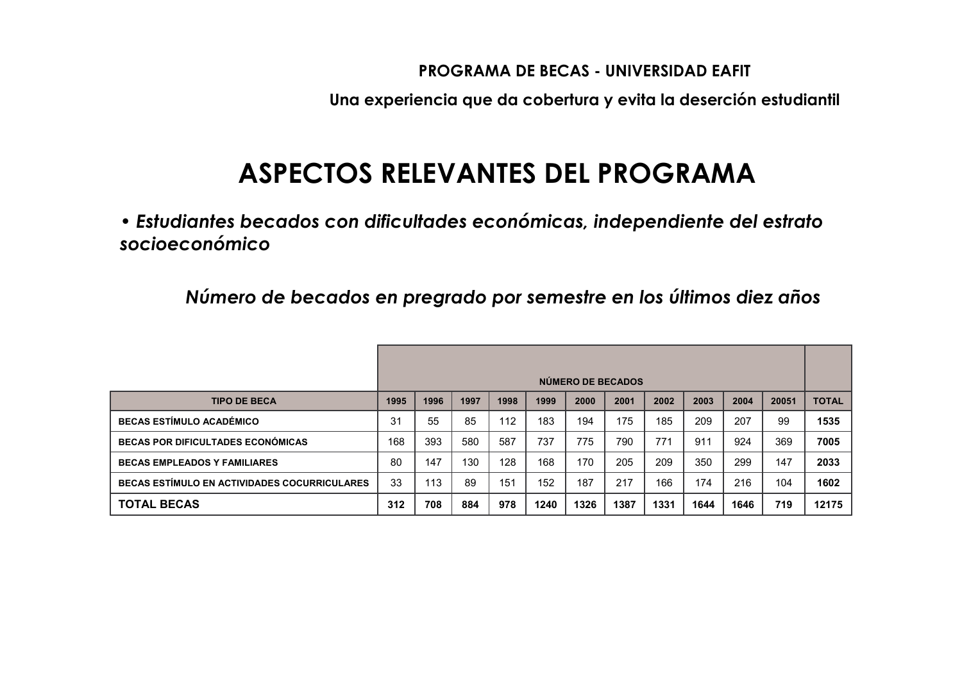Una experiencia que da cobertura y evita la deserción estudiantil

## ASPECTOS RELEVANTES DEL PROGRAMA

• Estudiantes becados con dificultades económicas, independiente del estrato socioeconómico

Número de becados en pregrado por semestre en los últimos diez años

|                                              | NÚMERO DE BECADOS |      |      |      |      |      |      |      |      |      |       |              |
|----------------------------------------------|-------------------|------|------|------|------|------|------|------|------|------|-------|--------------|
| <b>TIPO DE BECA</b>                          | 1995              | 1996 | 1997 | 1998 | 1999 | 2000 | 2001 | 2002 | 2003 | 2004 | 20051 | <b>TOTAL</b> |
| <b>BECAS ESTÍMULO ACADÉMICO</b>              | 31                | 55   | 85   | 112  | 183  | 194  | 175  | 185  | 209  | 207  | 99    | 1535         |
| <b>BECAS POR DIFICULTADES ECONÓMICAS</b>     | 168               | 393  | 580  | 587  | 737  | 775  | 790  | 771  | 911  | 924  | 369   | 7005         |
| <b>BECAS EMPLEADOS Y FAMILIARES</b>          | 80                | 147  | 130  | 128  | 168  | 170  | 205  | 209  | 350  | 299  | 147   | 2033         |
| BECAS ESTÍMULO EN ACTIVIDADES COCURRICULARES | 33                | 113  | 89   | 151  | 152  | 187  | 217  | 166  | 174  | 216  | 104   | 1602         |
| <b>TOTAL BECAS</b>                           | 312               | 708  | 884  | 978  | 1240 | 1326 | 1387 | 1331 | 1644 | 1646 | 719   | 12175        |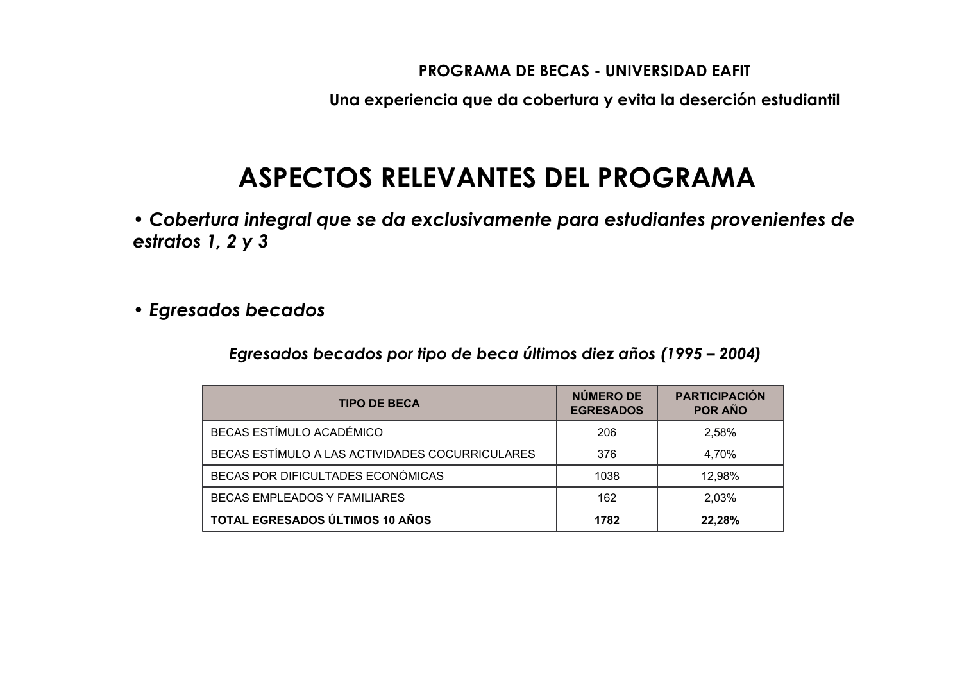Una experiencia que da cobertura y evita la deserción estudiantil

## ASPECTOS RELEVANTES DEL PROGRAMA

· Cobertura integral que se da exclusivamente para estudiantes provenientes de estratos 1, 2 y 3

· Egresados becados

Egresados becados por tipo de beca últimos diez años (1995 – 2004)

| <b>TIPO DE BECA</b>                             | NÚMERO DE<br><b>EGRESADOS</b> | <b>PARTICIPACIÓN</b><br>POR AÑO |
|-------------------------------------------------|-------------------------------|---------------------------------|
| BECAS ESTÍMULO ACADÉMICO                        | 206                           | 2,58%                           |
| BECAS ESTÍMULO A LAS ACTIVIDADES COCURRICULARES | 376                           | 4,70%                           |
| BECAS POR DIFICULTADES ECONÓMICAS               | 1038                          | 12,98%                          |
| <b>BECAS EMPLEADOS Y FAMILIARES</b>             | 162                           | 2,03%                           |
| TOTAL EGRESADOS ÚLTIMOS 10 AÑOS                 | 1782                          | 22,28%                          |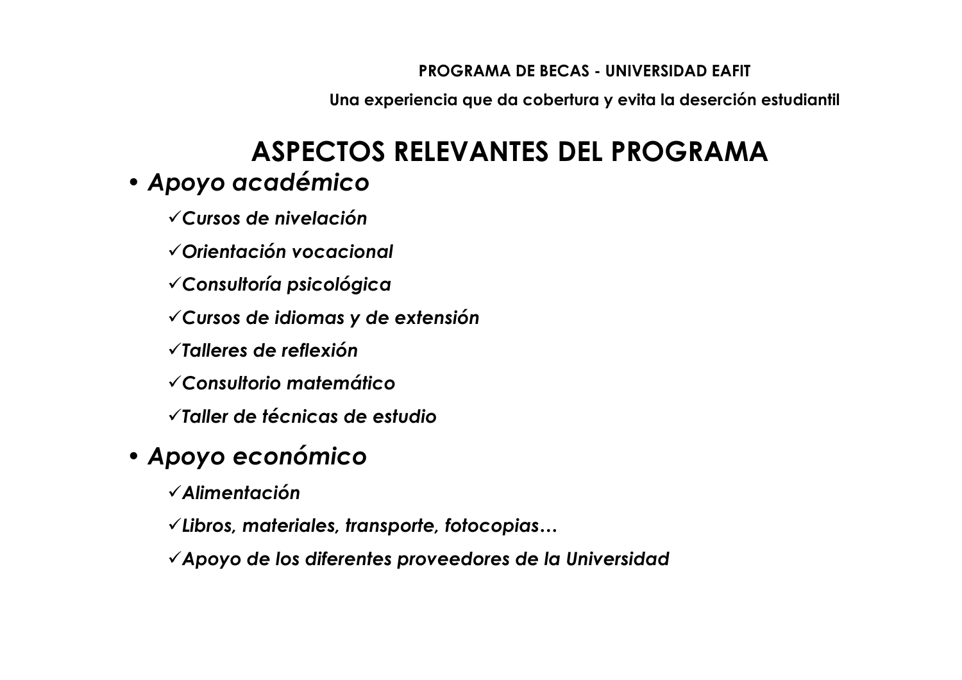Una experiencia que da cobertura y evita la deserción estudiantil

## ASPECTOS RELEVANTES DEL PROGRAMA · Apoyo académico

 $\checkmark$  Cursos de nivelación

√Orientación vocacional

√Consultoría psicológica

√Cursos de idiomas y de extensión

 $\sqrt{}$ Talleres de reflexión

√Consultorio matemático

√Taller de técnicas de estudio

## • Apoyo económico

 $\checkmark$  Alimentación

√Libros, materiales, transporte, fotocopias...

 $\checkmark$  Apoyo de los diferentes proveedores de la Universidad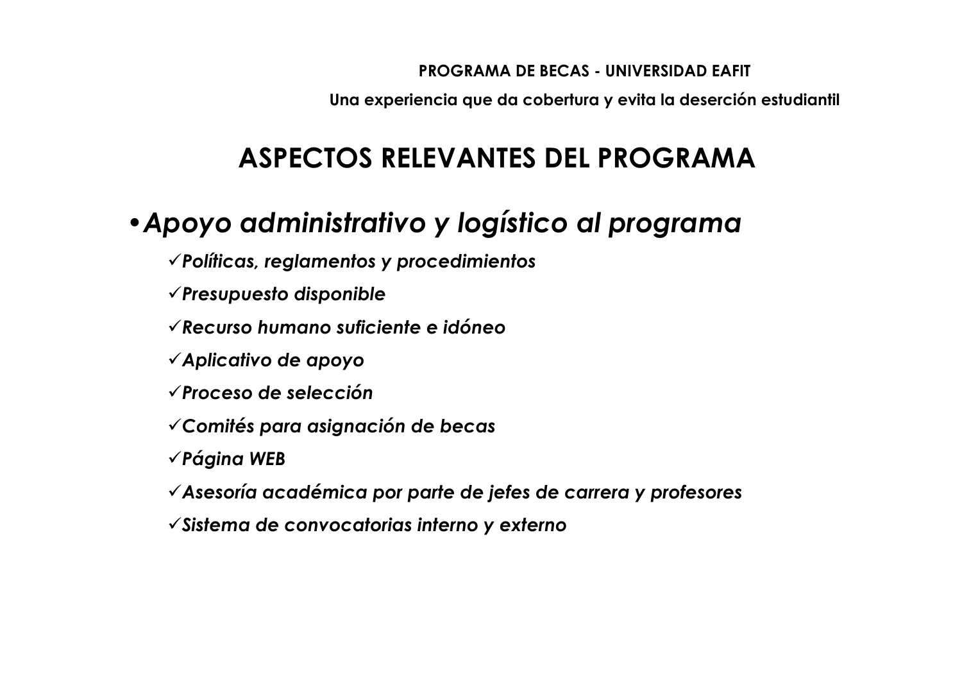Una experiencia que da cobertura y evita la deserción estudiantil

# ASPECTOS RELEVANTES DEL PROGRAMA

## • Apoyo administrativo y logístico al programa

 $\checkmark$  Políticas, reglamentos y procedimientos

 $\checkmark$  Presupuesto disponible

 $\sqrt{k}$ ecurso humano suficiente e idóneo

 $\checkmark$  Aplicativo de apoyo

 $\sqrt{$ Proceso de selección

√ Comités para asignación de becas

 $\checkmark$  Página WEB

√Asesoría académica por parte de jefes de carrera y profesores

 $\checkmark$  Sistema de convocatorias interno y externo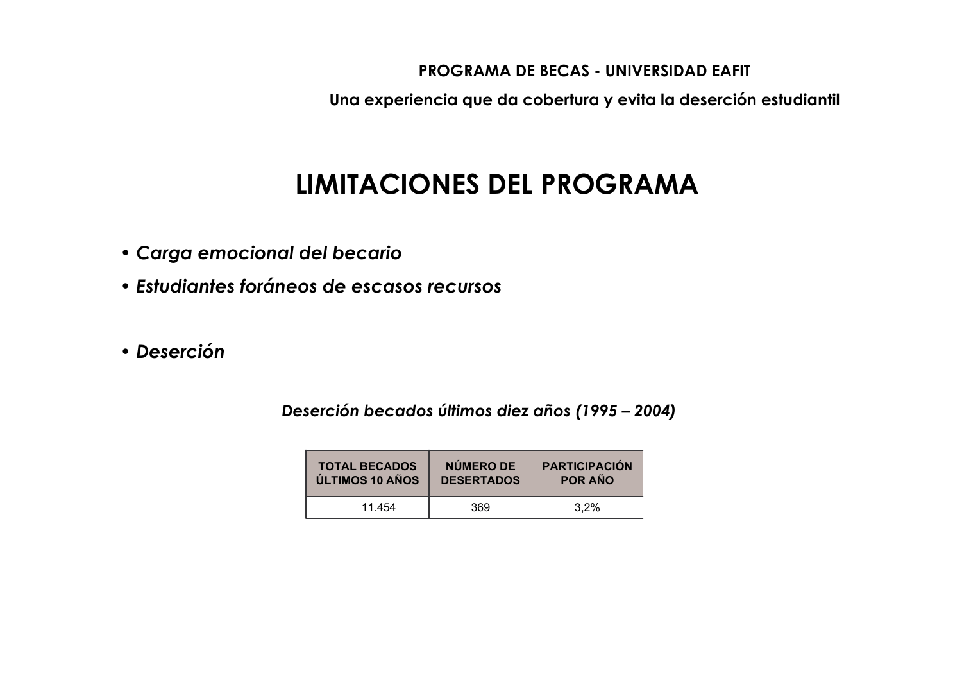Una experiencia que da cobertura y evita la deserción estudiantil

# **LIMITACIONES DEL PROGRAMA**

- · Carga emocional del becario
- Estudiantes foráneos de escasos recursos
- · Deserción

Deserción becados últimos diez años (1995 – 2004)

| <b>TOTAL BECADOS</b> | NÚMERO DE         | <b>PARTICIPACIÓN</b> |
|----------------------|-------------------|----------------------|
| ÚLTIMOS 10 AÑOS      | <b>DESERTADOS</b> | <b>POR AÑO</b>       |
| 11.454               | 369               | 3.2%                 |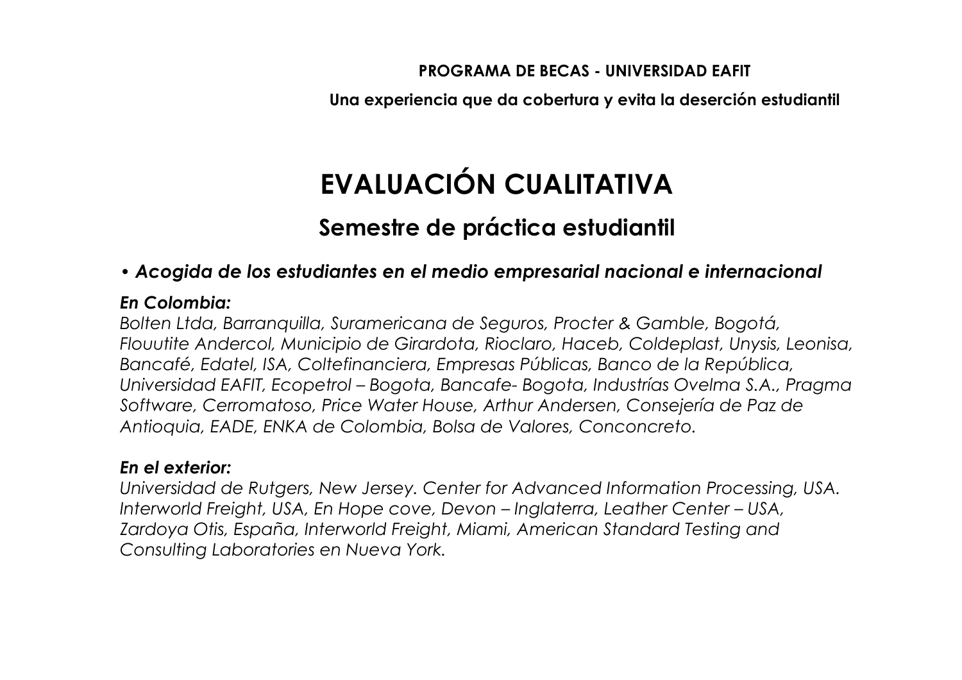Una experiencia que da cobertura y evita la deserción estudiantil

# EVALUACIÓN CUALITATIVA

### Semestre de práctica estudiantil

#### • Acogida de los estudiantes en el medio empresarial nacional e internacional

#### En Colombia:

Bolten Ltda, Barranquilla, Suramericana de Seguros, Procter & Gamble, Bogotá, Flouutite Andercol, Municipio de Girardota, Rioclaro, Haceb, Coldeplast, Unysis, Leonisa, Bancafé, Edatel, ISA, Coltefinanciera, Empresas Públicas, Banco de la República, Universidad EAFIT, Ecopetrol – Bogota, Bancafe-Bogota, Industrías Ovelma S.A., Pragma Software, Cerromatoso, Price Water House, Arthur Andersen, Consejería de Paz de Antioquia, EADE, ENKA de Colombia, Bolsa de Valores, Conconcreto.

#### En el exterior:

Universidad de Rutgers, New Jersey. Center for Advanced Information Processing, USA. Interworld Freight, USA, En Hope cove, Devon - Inglaterra, Leather Center - USA, Zardoya Otis, España, Interworld Freight, Miami, American Standard Testing and Consulting Laboratories en Nueva York.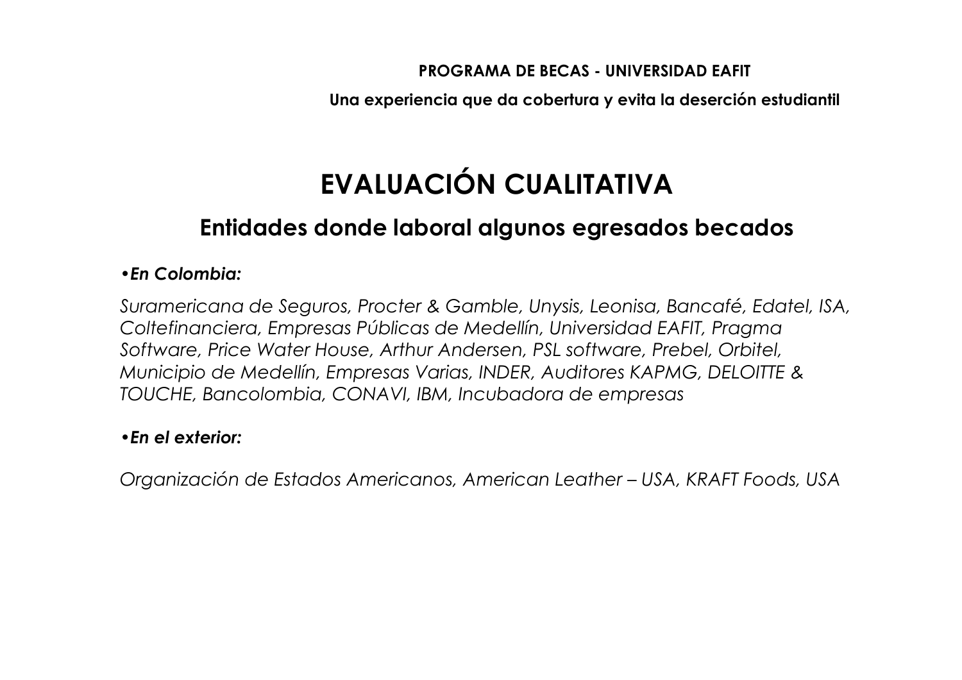Una experiencia que da cobertura y evita la deserción estudiantil

# EVALUACIÓN CUALITATIVA

### Entidades donde laboral algunos egresados becados

#### • En Colombia:

Suramericana de Seguros, Procter & Gamble, Unysis, Leonisa, Bancafé, Edatel, ISA, Coltefinanciera, Empresas Públicas de Medellín, Universidad EAFIT, Pragma Software, Price Water House, Arthur Andersen, PSL software, Prebel, Orbitel, Municipio de Medellín, Empresas Varias, INDER, Auditores KAPMG, DELOITTE & TOUCHE, Bancolombia, CONAVI, IBM, Incubadora de empresas

#### • En el exterior:

Organización de Estados Americanos, American Leather – USA, KRAFT Foods, USA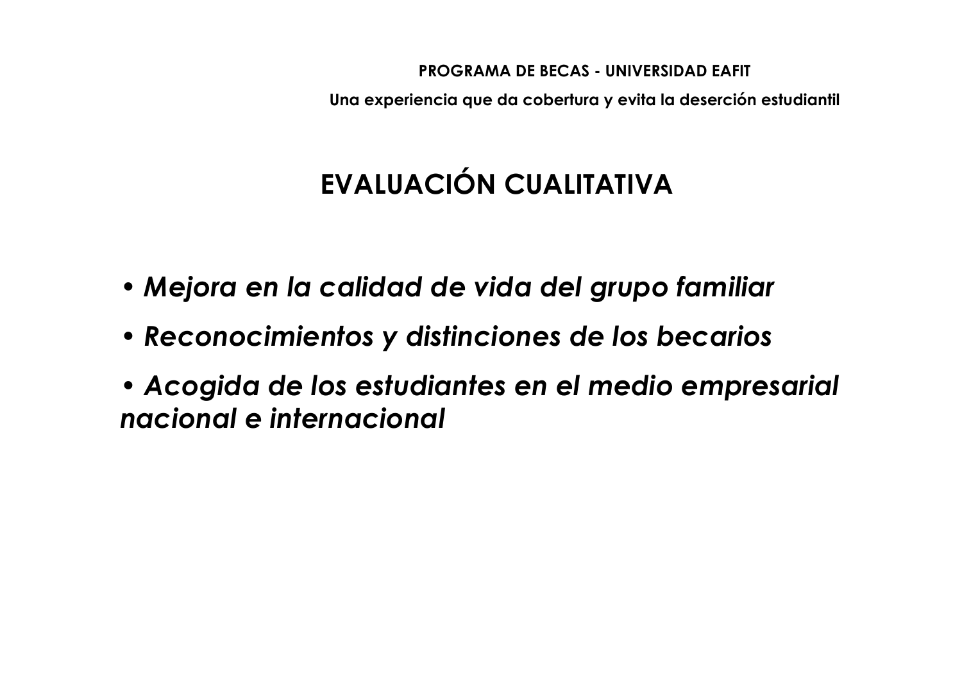Una experiencia que da cobertura y evita la deserción estudiantil

# EVALUACIÓN CUALITATIVA

- Mejora en la calidad de vida del grupo familiar
- Reconocimientos y distinciones de los becarios
- Acogida de los estudiantes en el medio empresarial nacional e internacional